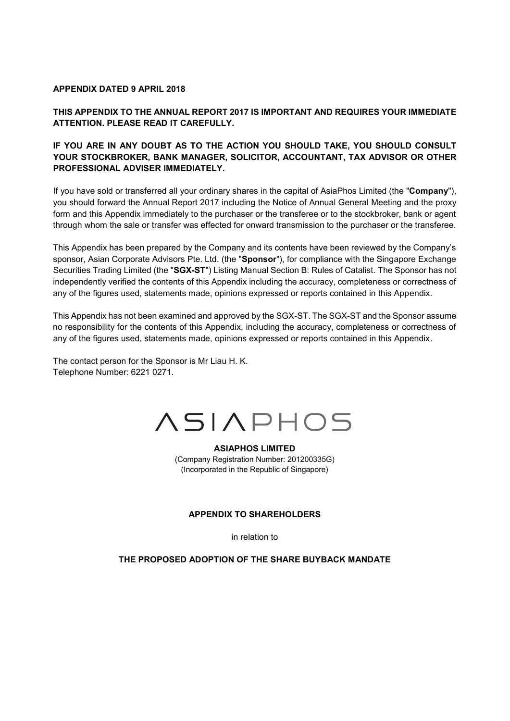## **APPENDIX DATED 9 APRIL 2018**

## **THIS APPENDIX TO THE ANNUAL REPORT 2017 IS IMPORTANT AND REQUIRES YOUR IMMEDIATE ATTENTION. PLEASE READ IT CAREFULLY.**

## **IF YOU ARE IN ANY DOUBT AS TO THE ACTION YOU SHOULD TAKE, YOU SHOULD CONSULT YOUR STOCKBROKER, BANK MANAGER, SOLICITOR, ACCOUNTANT, TAX ADVISOR OR OTHER PROFESSIONAL ADVISER IMMEDIATELY.**

If you have sold or transferred all your ordinary shares in the capital of AsiaPhos Limited (the "**Company**"), you should forward the Annual Report 2017 including the Notice of Annual General Meeting and the proxy form and this Appendix immediately to the purchaser or the transferee or to the stockbroker, bank or agent through whom the sale or transfer was effected for onward transmission to the purchaser or the transferee.

This Appendix has been prepared by the Company and its contents have been reviewed by the Company's sponsor, Asian Corporate Advisors Pte. Ltd. (the "**Sponsor**"), for compliance with the Singapore Exchange Securities Trading Limited (the "**SGX-ST**") Listing Manual Section B: Rules of Catalist. The Sponsor has not independently verified the contents of this Appendix including the accuracy, completeness or correctness of any of the figures used, statements made, opinions expressed or reports contained in this Appendix.

This Appendix has not been examined and approved by the SGX-ST. The SGX-ST and the Sponsor assume no responsibility for the contents of this Appendix, including the accuracy, completeness or correctness of any of the figures used, statements made, opinions expressed or reports contained in this Appendix.

The contact person for the Sponsor is Mr Liau H. K. Telephone Number: 6221 0271.



# **ASIAPHOS LIMITED**

(Company Registration Number: 201200335G) (Incorporated in the Republic of Singapore)

## **APPENDIX TO SHAREHOLDERS**

in relation to

**THE PROPOSED ADOPTION OF THE SHARE BUYBACK MANDATE**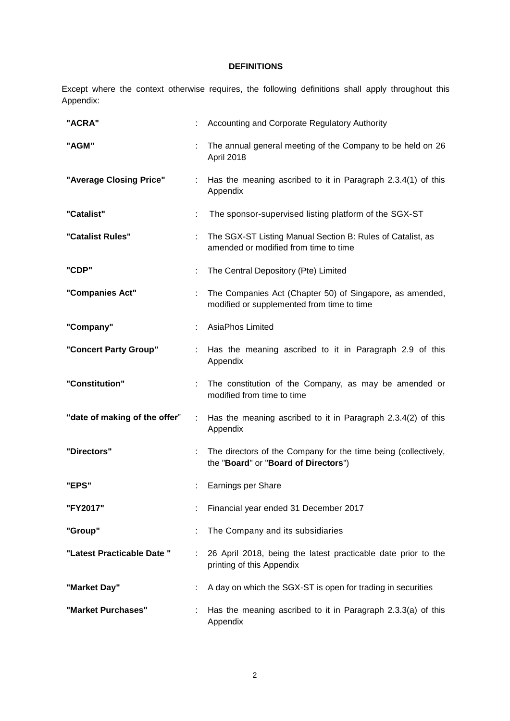## **DEFINITIONS**

Except where the context otherwise requires, the following definitions shall apply throughout this Appendix:

| "ACRA"                        |   | Accounting and Corporate Regulatory Authority                                                          |  |
|-------------------------------|---|--------------------------------------------------------------------------------------------------------|--|
| "AGM"                         |   | The annual general meeting of the Company to be held on 26<br>April 2018                               |  |
| "Average Closing Price"       | ÷ | Has the meaning ascribed to it in Paragraph 2.3.4(1) of this<br>Appendix                               |  |
| "Catalist"                    |   | The sponsor-supervised listing platform of the SGX-ST                                                  |  |
| "Catalist Rules"              | ÷ | The SGX-ST Listing Manual Section B: Rules of Catalist, as<br>amended or modified from time to time    |  |
| "CDP"                         |   | The Central Depository (Pte) Limited                                                                   |  |
| "Companies Act"               | ÷ | The Companies Act (Chapter 50) of Singapore, as amended,<br>modified or supplemented from time to time |  |
| "Company"                     |   | AsiaPhos Limited                                                                                       |  |
| "Concert Party Group"         |   | Has the meaning ascribed to it in Paragraph 2.9 of this<br>Appendix                                    |  |
| "Constitution"                |   | The constitution of the Company, as may be amended or<br>modified from time to time                    |  |
| "date of making of the offer" |   | Has the meaning ascribed to it in Paragraph 2.3.4(2) of this<br>Appendix                               |  |
| "Directors"                   | ÷ | The directors of the Company for the time being (collectively,<br>the "Board" or "Board of Directors") |  |
| "EPS"                         |   | Earnings per Share                                                                                     |  |
| "FY2017"                      |   | Financial year ended 31 December 2017                                                                  |  |
| "Group"                       |   | The Company and its subsidiaries                                                                       |  |
| "Latest Practicable Date "    | ÷ | 26 April 2018, being the latest practicable date prior to the<br>printing of this Appendix             |  |
| "Market Day"                  |   | A day on which the SGX-ST is open for trading in securities                                            |  |
| "Market Purchases"            |   | Has the meaning ascribed to it in Paragraph 2.3.3(a) of this<br>Appendix                               |  |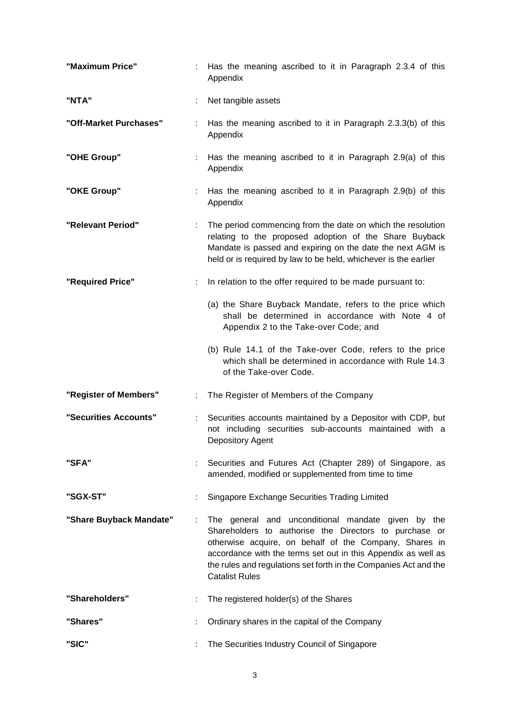| "Maximum Price"         |    | Has the meaning ascribed to it in Paragraph 2.3.4 of this<br>Appendix                                                                                                                                                                                                                                                                |
|-------------------------|----|--------------------------------------------------------------------------------------------------------------------------------------------------------------------------------------------------------------------------------------------------------------------------------------------------------------------------------------|
| "NTA"                   |    | Net tangible assets                                                                                                                                                                                                                                                                                                                  |
| "Off-Market Purchases"  |    | Has the meaning ascribed to it in Paragraph 2.3.3(b) of this<br>Appendix                                                                                                                                                                                                                                                             |
| "OHE Group"             |    | Has the meaning ascribed to it in Paragraph 2.9(a) of this<br>Appendix                                                                                                                                                                                                                                                               |
| "OKE Group"             |    | Has the meaning ascribed to it in Paragraph 2.9(b) of this<br>Appendix                                                                                                                                                                                                                                                               |
| "Relevant Period"       |    | The period commencing from the date on which the resolution<br>relating to the proposed adoption of the Share Buyback<br>Mandate is passed and expiring on the date the next AGM is<br>held or is required by law to be held, whichever is the earlier                                                                               |
| "Required Price"        |    | In relation to the offer required to be made pursuant to:                                                                                                                                                                                                                                                                            |
|                         |    | (a) the Share Buyback Mandate, refers to the price which<br>shall be determined in accordance with Note 4 of<br>Appendix 2 to the Take-over Code; and                                                                                                                                                                                |
|                         |    | (b) Rule 14.1 of the Take-over Code, refers to the price<br>which shall be determined in accordance with Rule 14.3<br>of the Take-over Code.                                                                                                                                                                                         |
| "Register of Members"   | ÷. | The Register of Members of the Company                                                                                                                                                                                                                                                                                               |
| "Securities Accounts"   |    | Securities accounts maintained by a Depositor with CDP, but<br>not including securities sub-accounts maintained with a<br>Depository Agent                                                                                                                                                                                           |
| "SFA"                   |    | Securities and Futures Act (Chapter 289) of Singapore, as<br>amended, modified or supplemented from time to time                                                                                                                                                                                                                     |
| "SGX-ST"                |    | Singapore Exchange Securities Trading Limited                                                                                                                                                                                                                                                                                        |
| "Share Buyback Mandate" |    | The general and unconditional mandate given by the<br>Shareholders to authorise the Directors to purchase or<br>otherwise acquire, on behalf of the Company, Shares in<br>accordance with the terms set out in this Appendix as well as<br>the rules and regulations set forth in the Companies Act and the<br><b>Catalist Rules</b> |
| "Shareholders"          |    | The registered holder(s) of the Shares                                                                                                                                                                                                                                                                                               |
| "Shares"                |    | Ordinary shares in the capital of the Company                                                                                                                                                                                                                                                                                        |
| "SIC"                   |    | The Securities Industry Council of Singapore                                                                                                                                                                                                                                                                                         |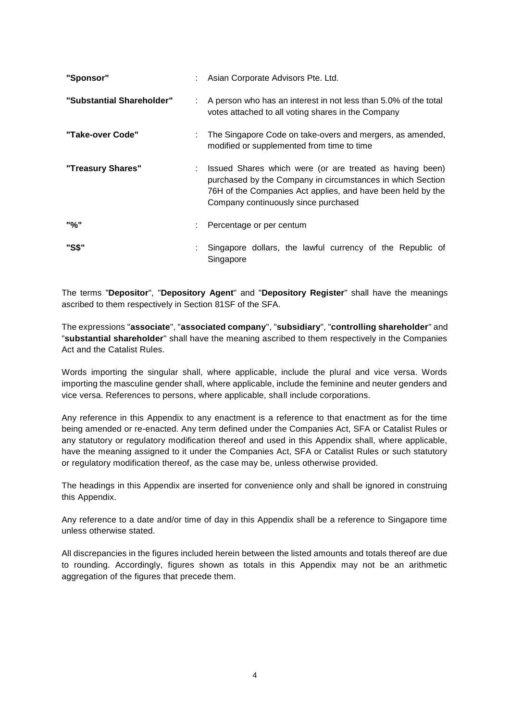| "Sponsor"                 | Asian Corporate Advisors Pte. Ltd.                                                                                                                                                                                            |  |  |
|---------------------------|-------------------------------------------------------------------------------------------------------------------------------------------------------------------------------------------------------------------------------|--|--|
| "Substantial Shareholder" | : A person who has an interest in not less than 5.0% of the total<br>votes attached to all voting shares in the Company                                                                                                       |  |  |
| "Take-over Code"          | The Singapore Code on take-overs and mergers, as amended,<br>modified or supplemented from time to time                                                                                                                       |  |  |
| "Treasury Shares"         | Issued Shares which were (or are treated as having been)<br>purchased by the Company in circumstances in which Section<br>76H of the Companies Act applies, and have been held by the<br>Company continuously since purchased |  |  |
| "%"                       | : Percentage or per centum                                                                                                                                                                                                    |  |  |
| "S\$"                     | Singapore dollars, the lawful currency of the Republic of<br>Singapore                                                                                                                                                        |  |  |

The terms "**Depositor**", "**Depository Agent**" and "**Depository Register**" shall have the meanings ascribed to them respectively in Section 81SF of the SFA.

The expressions "**associate**", "**associated company**", "**subsidiary**", "**controlling shareholder**" and "**substantial shareholder**" shall have the meaning ascribed to them respectively in the Companies Act and the Catalist Rules.

Words importing the singular shall, where applicable, include the plural and vice versa. Words importing the masculine gender shall, where applicable, include the feminine and neuter genders and vice versa. References to persons, where applicable, shall include corporations.

Any reference in this Appendix to any enactment is a reference to that enactment as for the time being amended or re-enacted. Any term defined under the Companies Act, SFA or Catalist Rules or any statutory or regulatory modification thereof and used in this Appendix shall, where applicable, have the meaning assigned to it under the Companies Act, SFA or Catalist Rules or such statutory or regulatory modification thereof, as the case may be, unless otherwise provided.

The headings in this Appendix are inserted for convenience only and shall be ignored in construing this Appendix.

Any reference to a date and/or time of day in this Appendix shall be a reference to Singapore time unless otherwise stated.

All discrepancies in the figures included herein between the listed amounts and totals thereof are due to rounding. Accordingly, figures shown as totals in this Appendix may not be an arithmetic aggregation of the figures that precede them.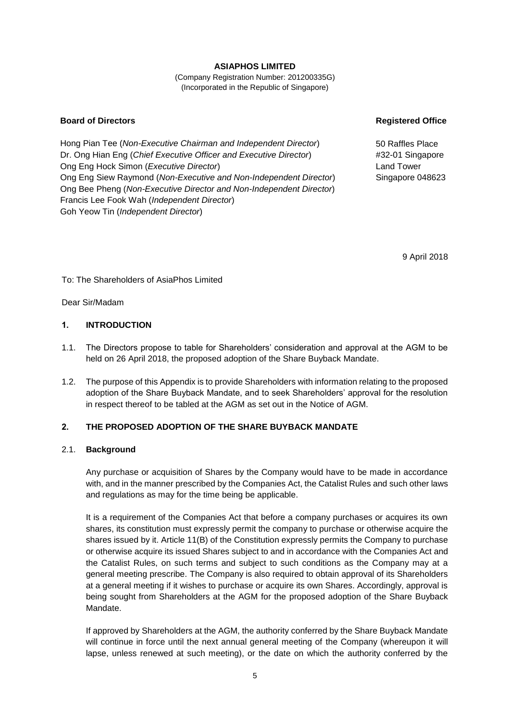## **ASIAPHOS LIMITED**

(Company Registration Number: 201200335G) (Incorporated in the Republic of Singapore)

#### **Board of Directors Registered Office**

Hong Pian Tee (*Non-Executive Chairman and Independent Director*) Dr. Ong Hian Eng (*Chief Executive Officer and Executive Director*) Ong Eng Hock Simon (*Executive Director*) Ong Eng Siew Raymond (*Non-Executive and Non-Independent Director*) Ong Bee Pheng (*Non-Executive Director and Non-Independent Director*) Francis Lee Fook Wah (*Independent Director*) Goh Yeow Tin (*Independent Director*)

50 Raffles Place #32-01 Singapore Land Tower Singapore 048623

9 April 2018

To: The Shareholders of AsiaPhos Limited

Dear Sir/Madam

## **1. INTRODUCTION**

- 1.1. The Directors propose to table for Shareholders' consideration and approval at the AGM to be held on 26 April 2018, the proposed adoption of the Share Buyback Mandate.
- 1.2. The purpose of this Appendix is to provide Shareholders with information relating to the proposed adoption of the Share Buyback Mandate, and to seek Shareholders' approval for the resolution in respect thereof to be tabled at the AGM as set out in the Notice of AGM.

## **2. THE PROPOSED ADOPTION OF THE SHARE BUYBACK MANDATE**

## 2.1. **Background**

Any purchase or acquisition of Shares by the Company would have to be made in accordance with, and in the manner prescribed by the Companies Act, the Catalist Rules and such other laws and regulations as may for the time being be applicable.

It is a requirement of the Companies Act that before a company purchases or acquires its own shares, its constitution must expressly permit the company to purchase or otherwise acquire the shares issued by it. Article 11(B) of the Constitution expressly permits the Company to purchase or otherwise acquire its issued Shares subject to and in accordance with the Companies Act and the Catalist Rules, on such terms and subject to such conditions as the Company may at a general meeting prescribe. The Company is also required to obtain approval of its Shareholders at a general meeting if it wishes to purchase or acquire its own Shares. Accordingly, approval is being sought from Shareholders at the AGM for the proposed adoption of the Share Buyback Mandate.

If approved by Shareholders at the AGM, the authority conferred by the Share Buyback Mandate will continue in force until the next annual general meeting of the Company (whereupon it will lapse, unless renewed at such meeting), or the date on which the authority conferred by the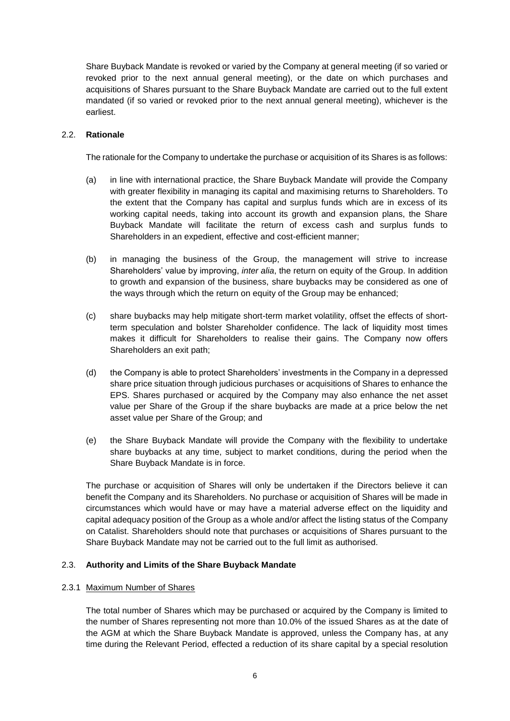Share Buyback Mandate is revoked or varied by the Company at general meeting (if so varied or revoked prior to the next annual general meeting), or the date on which purchases and acquisitions of Shares pursuant to the Share Buyback Mandate are carried out to the full extent mandated (if so varied or revoked prior to the next annual general meeting), whichever is the earliest.

## 2.2. **Rationale**

The rationale for the Company to undertake the purchase or acquisition of its Shares is as follows:

- (a) in line with international practice, the Share Buyback Mandate will provide the Company with greater flexibility in managing its capital and maximising returns to Shareholders. To the extent that the Company has capital and surplus funds which are in excess of its working capital needs, taking into account its growth and expansion plans, the Share Buyback Mandate will facilitate the return of excess cash and surplus funds to Shareholders in an expedient, effective and cost-efficient manner;
- (b) in managing the business of the Group, the management will strive to increase Shareholders' value by improving, *inter alia*, the return on equity of the Group. In addition to growth and expansion of the business, share buybacks may be considered as one of the ways through which the return on equity of the Group may be enhanced;
- (c) share buybacks may help mitigate short-term market volatility, offset the effects of shortterm speculation and bolster Shareholder confidence. The lack of liquidity most times makes it difficult for Shareholders to realise their gains. The Company now offers Shareholders an exit path;
- (d) the Company is able to protect Shareholders' investments in the Company in a depressed share price situation through judicious purchases or acquisitions of Shares to enhance the EPS. Shares purchased or acquired by the Company may also enhance the net asset value per Share of the Group if the share buybacks are made at a price below the net asset value per Share of the Group; and
- (e) the Share Buyback Mandate will provide the Company with the flexibility to undertake share buybacks at any time, subject to market conditions, during the period when the Share Buyback Mandate is in force.

The purchase or acquisition of Shares will only be undertaken if the Directors believe it can benefit the Company and its Shareholders. No purchase or acquisition of Shares will be made in circumstances which would have or may have a material adverse effect on the liquidity and capital adequacy position of the Group as a whole and/or affect the listing status of the Company on Catalist. Shareholders should note that purchases or acquisitions of Shares pursuant to the Share Buyback Mandate may not be carried out to the full limit as authorised.

## 2.3. **Authority and Limits of the Share Buyback Mandate**

## 2.3.1 Maximum Number of Shares

The total number of Shares which may be purchased or acquired by the Company is limited to the number of Shares representing not more than 10.0% of the issued Shares as at the date of the AGM at which the Share Buyback Mandate is approved, unless the Company has, at any time during the Relevant Period, effected a reduction of its share capital by a special resolution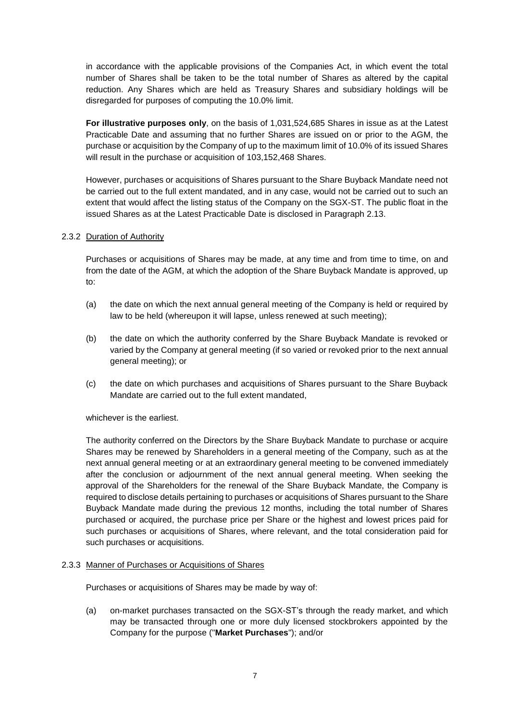in accordance with the applicable provisions of the Companies Act, in which event the total number of Shares shall be taken to be the total number of Shares as altered by the capital reduction. Any Shares which are held as Treasury Shares and subsidiary holdings will be disregarded for purposes of computing the 10.0% limit.

**For illustrative purposes only**, on the basis of 1,031,524,685 Shares in issue as at the Latest Practicable Date and assuming that no further Shares are issued on or prior to the AGM, the purchase or acquisition by the Company of up to the maximum limit of 10.0% of its issued Shares will result in the purchase or acquisition of 103,152,468 Shares.

However, purchases or acquisitions of Shares pursuant to the Share Buyback Mandate need not be carried out to the full extent mandated, and in any case, would not be carried out to such an extent that would affect the listing status of the Company on the SGX-ST. The public float in the issued Shares as at the Latest Practicable Date is disclosed in Paragraph 2.13.

## 2.3.2 Duration of Authority

Purchases or acquisitions of Shares may be made, at any time and from time to time, on and from the date of the AGM, at which the adoption of the Share Buyback Mandate is approved, up to:

- (a) the date on which the next annual general meeting of the Company is held or required by law to be held (whereupon it will lapse, unless renewed at such meeting);
- (b) the date on which the authority conferred by the Share Buyback Mandate is revoked or varied by the Company at general meeting (if so varied or revoked prior to the next annual general meeting); or
- (c) the date on which purchases and acquisitions of Shares pursuant to the Share Buyback Mandate are carried out to the full extent mandated,

whichever is the earliest.

The authority conferred on the Directors by the Share Buyback Mandate to purchase or acquire Shares may be renewed by Shareholders in a general meeting of the Company, such as at the next annual general meeting or at an extraordinary general meeting to be convened immediately after the conclusion or adjournment of the next annual general meeting. When seeking the approval of the Shareholders for the renewal of the Share Buyback Mandate, the Company is required to disclose details pertaining to purchases or acquisitions of Shares pursuant to the Share Buyback Mandate made during the previous 12 months, including the total number of Shares purchased or acquired, the purchase price per Share or the highest and lowest prices paid for such purchases or acquisitions of Shares, where relevant, and the total consideration paid for such purchases or acquisitions.

#### 2.3.3 Manner of Purchases or Acquisitions of Shares

Purchases or acquisitions of Shares may be made by way of:

(a) on-market purchases transacted on the SGX-ST's through the ready market, and which may be transacted through one or more duly licensed stockbrokers appointed by the Company for the purpose ("**Market Purchases**"); and/or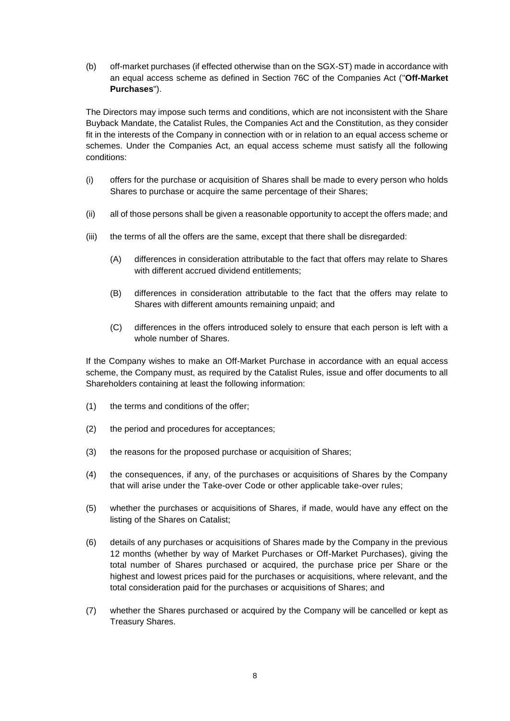(b) off-market purchases (if effected otherwise than on the SGX-ST) made in accordance with an equal access scheme as defined in Section 76C of the Companies Act ("**Off-Market Purchases**").

The Directors may impose such terms and conditions, which are not inconsistent with the Share Buyback Mandate, the Catalist Rules, the Companies Act and the Constitution, as they consider fit in the interests of the Company in connection with or in relation to an equal access scheme or schemes. Under the Companies Act, an equal access scheme must satisfy all the following conditions:

- (i) offers for the purchase or acquisition of Shares shall be made to every person who holds Shares to purchase or acquire the same percentage of their Shares;
- (ii) all of those persons shall be given a reasonable opportunity to accept the offers made; and
- (iii) the terms of all the offers are the same, except that there shall be disregarded:
	- (A) differences in consideration attributable to the fact that offers may relate to Shares with different accrued dividend entitlements;
	- (B) differences in consideration attributable to the fact that the offers may relate to Shares with different amounts remaining unpaid; and
	- (C) differences in the offers introduced solely to ensure that each person is left with a whole number of Shares.

If the Company wishes to make an Off-Market Purchase in accordance with an equal access scheme, the Company must, as required by the Catalist Rules, issue and offer documents to all Shareholders containing at least the following information:

- (1) the terms and conditions of the offer;
- (2) the period and procedures for acceptances;
- (3) the reasons for the proposed purchase or acquisition of Shares;
- (4) the consequences, if any, of the purchases or acquisitions of Shares by the Company that will arise under the Take-over Code or other applicable take-over rules;
- (5) whether the purchases or acquisitions of Shares, if made, would have any effect on the listing of the Shares on Catalist;
- (6) details of any purchases or acquisitions of Shares made by the Company in the previous 12 months (whether by way of Market Purchases or Off-Market Purchases), giving the total number of Shares purchased or acquired, the purchase price per Share or the highest and lowest prices paid for the purchases or acquisitions, where relevant, and the total consideration paid for the purchases or acquisitions of Shares; and
- (7) whether the Shares purchased or acquired by the Company will be cancelled or kept as Treasury Shares.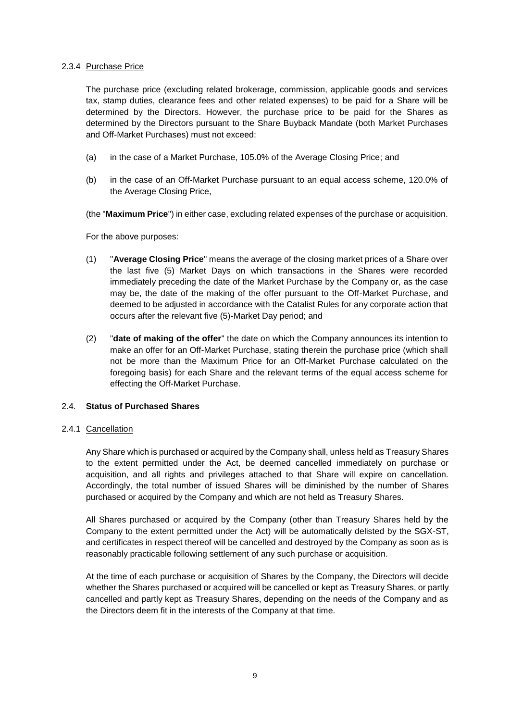#### 2.3.4 Purchase Price

The purchase price (excluding related brokerage, commission, applicable goods and services tax, stamp duties, clearance fees and other related expenses) to be paid for a Share will be determined by the Directors. However, the purchase price to be paid for the Shares as determined by the Directors pursuant to the Share Buyback Mandate (both Market Purchases and Off-Market Purchases) must not exceed:

- (a) in the case of a Market Purchase, 105.0% of the Average Closing Price; and
- (b) in the case of an Off-Market Purchase pursuant to an equal access scheme, 120.0% of the Average Closing Price,
- (the "**Maximum Price**") in either case, excluding related expenses of the purchase or acquisition.

For the above purposes:

- (1) "**Average Closing Price**" means the average of the closing market prices of a Share over the last five (5) Market Days on which transactions in the Shares were recorded immediately preceding the date of the Market Purchase by the Company or, as the case may be, the date of the making of the offer pursuant to the Off-Market Purchase, and deemed to be adjusted in accordance with the Catalist Rules for any corporate action that occurs after the relevant five (5)-Market Day period; and
- (2) "**date of making of the offer**" the date on which the Company announces its intention to make an offer for an Off-Market Purchase, stating therein the purchase price (which shall not be more than the Maximum Price for an Off-Market Purchase calculated on the foregoing basis) for each Share and the relevant terms of the equal access scheme for effecting the Off-Market Purchase.

## 2.4. **Status of Purchased Shares**

## 2.4.1 Cancellation

Any Share which is purchased or acquired by the Company shall, unless held as Treasury Shares to the extent permitted under the Act, be deemed cancelled immediately on purchase or acquisition, and all rights and privileges attached to that Share will expire on cancellation. Accordingly, the total number of issued Shares will be diminished by the number of Shares purchased or acquired by the Company and which are not held as Treasury Shares.

All Shares purchased or acquired by the Company (other than Treasury Shares held by the Company to the extent permitted under the Act) will be automatically delisted by the SGX-ST, and certificates in respect thereof will be cancelled and destroyed by the Company as soon as is reasonably practicable following settlement of any such purchase or acquisition.

At the time of each purchase or acquisition of Shares by the Company, the Directors will decide whether the Shares purchased or acquired will be cancelled or kept as Treasury Shares, or partly cancelled and partly kept as Treasury Shares, depending on the needs of the Company and as the Directors deem fit in the interests of the Company at that time.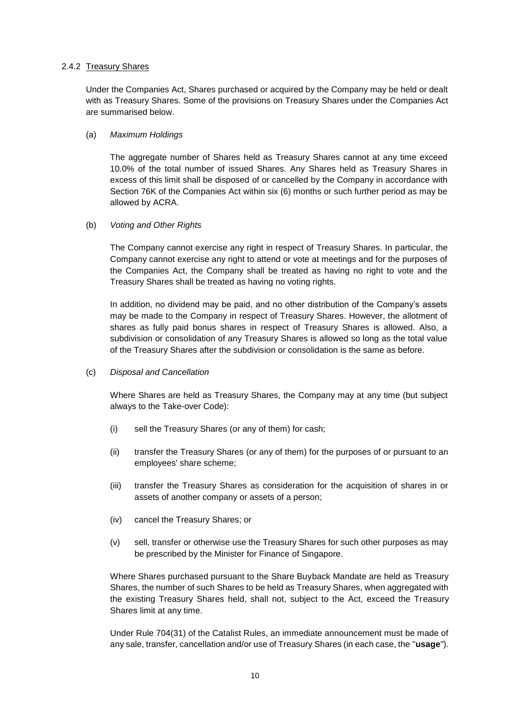#### 2.4.2 Treasury Shares

Under the Companies Act, Shares purchased or acquired by the Company may be held or dealt with as Treasury Shares. Some of the provisions on Treasury Shares under the Companies Act are summarised below.

#### (a) *Maximum Holdings*

The aggregate number of Shares held as Treasury Shares cannot at any time exceed 10.0% of the total number of issued Shares. Any Shares held as Treasury Shares in excess of this limit shall be disposed of or cancelled by the Company in accordance with Section 76K of the Companies Act within six (6) months or such further period as may be allowed by ACRA.

#### (b) *Voting and Other Rights*

The Company cannot exercise any right in respect of Treasury Shares. In particular, the Company cannot exercise any right to attend or vote at meetings and for the purposes of the Companies Act, the Company shall be treated as having no right to vote and the Treasury Shares shall be treated as having no voting rights.

In addition, no dividend may be paid, and no other distribution of the Company's assets may be made to the Company in respect of Treasury Shares. However, the allotment of shares as fully paid bonus shares in respect of Treasury Shares is allowed. Also, a subdivision or consolidation of any Treasury Shares is allowed so long as the total value of the Treasury Shares after the subdivision or consolidation is the same as before.

(c) *Disposal and Cancellation*

Where Shares are held as Treasury Shares, the Company may at any time (but subject always to the Take-over Code):

- (i) sell the Treasury Shares (or any of them) for cash;
- (ii) transfer the Treasury Shares (or any of them) for the purposes of or pursuant to an employees' share scheme;
- (iii) transfer the Treasury Shares as consideration for the acquisition of shares in or assets of another company or assets of a person;
- (iv) cancel the Treasury Shares; or
- (v) sell, transfer or otherwise use the Treasury Shares for such other purposes as may be prescribed by the Minister for Finance of Singapore.

Where Shares purchased pursuant to the Share Buyback Mandate are held as Treasury Shares, the number of such Shares to be held as Treasury Shares, when aggregated with the existing Treasury Shares held, shall not, subject to the Act, exceed the Treasury Shares limit at any time.

Under Rule 704(31) of the Catalist Rules, an immediate announcement must be made of any sale, transfer, cancellation and/or use of Treasury Shares (in each case, the "**usage**").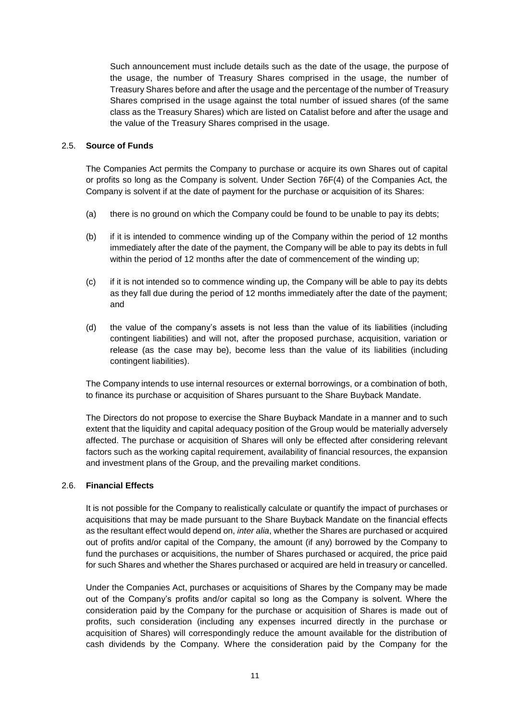Such announcement must include details such as the date of the usage, the purpose of the usage, the number of Treasury Shares comprised in the usage, the number of Treasury Shares before and after the usage and the percentage of the number of Treasury Shares comprised in the usage against the total number of issued shares (of the same class as the Treasury Shares) which are listed on Catalist before and after the usage and the value of the Treasury Shares comprised in the usage.

## 2.5. **Source of Funds**

The Companies Act permits the Company to purchase or acquire its own Shares out of capital or profits so long as the Company is solvent. Under Section 76F(4) of the Companies Act, the Company is solvent if at the date of payment for the purchase or acquisition of its Shares:

- (a) there is no ground on which the Company could be found to be unable to pay its debts;
- (b) if it is intended to commence winding up of the Company within the period of 12 months immediately after the date of the payment, the Company will be able to pay its debts in full within the period of 12 months after the date of commencement of the winding up;
- (c) if it is not intended so to commence winding up, the Company will be able to pay its debts as they fall due during the period of 12 months immediately after the date of the payment; and
- (d) the value of the company's assets is not less than the value of its liabilities (including contingent liabilities) and will not, after the proposed purchase, acquisition, variation or release (as the case may be), become less than the value of its liabilities (including contingent liabilities).

The Company intends to use internal resources or external borrowings, or a combination of both, to finance its purchase or acquisition of Shares pursuant to the Share Buyback Mandate.

The Directors do not propose to exercise the Share Buyback Mandate in a manner and to such extent that the liquidity and capital adequacy position of the Group would be materially adversely affected. The purchase or acquisition of Shares will only be effected after considering relevant factors such as the working capital requirement, availability of financial resources, the expansion and investment plans of the Group, and the prevailing market conditions.

## 2.6. **Financial Effects**

It is not possible for the Company to realistically calculate or quantify the impact of purchases or acquisitions that may be made pursuant to the Share Buyback Mandate on the financial effects as the resultant effect would depend on, *inter alia*, whether the Shares are purchased or acquired out of profits and/or capital of the Company, the amount (if any) borrowed by the Company to fund the purchases or acquisitions, the number of Shares purchased or acquired, the price paid for such Shares and whether the Shares purchased or acquired are held in treasury or cancelled.

Under the Companies Act, purchases or acquisitions of Shares by the Company may be made out of the Company's profits and/or capital so long as the Company is solvent. Where the consideration paid by the Company for the purchase or acquisition of Shares is made out of profits, such consideration (including any expenses incurred directly in the purchase or acquisition of Shares) will correspondingly reduce the amount available for the distribution of cash dividends by the Company. Where the consideration paid by the Company for the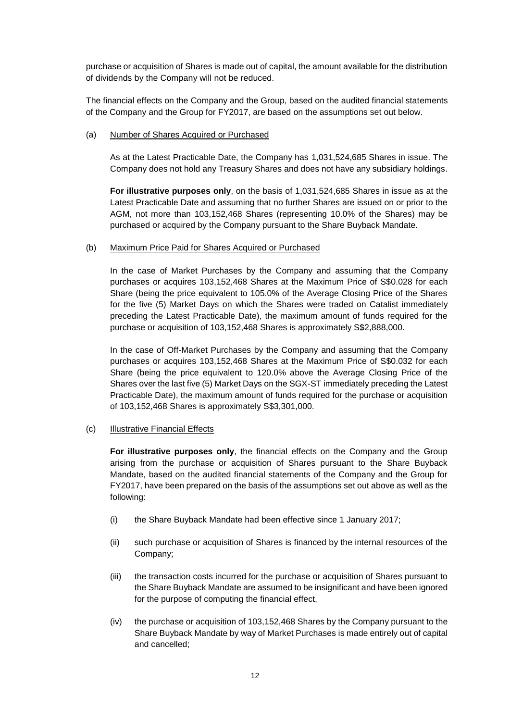purchase or acquisition of Shares is made out of capital, the amount available for the distribution of dividends by the Company will not be reduced.

The financial effects on the Company and the Group, based on the audited financial statements of the Company and the Group for FY2017, are based on the assumptions set out below.

## (a) Number of Shares Acquired or Purchased

As at the Latest Practicable Date, the Company has 1,031,524,685 Shares in issue. The Company does not hold any Treasury Shares and does not have any subsidiary holdings.

**For illustrative purposes only**, on the basis of 1,031,524,685 Shares in issue as at the Latest Practicable Date and assuming that no further Shares are issued on or prior to the AGM, not more than 103,152,468 Shares (representing 10.0% of the Shares) may be purchased or acquired by the Company pursuant to the Share Buyback Mandate.

#### (b) Maximum Price Paid for Shares Acquired or Purchased

In the case of Market Purchases by the Company and assuming that the Company purchases or acquires 103,152,468 Shares at the Maximum Price of S\$0.028 for each Share (being the price equivalent to 105.0% of the Average Closing Price of the Shares for the five (5) Market Days on which the Shares were traded on Catalist immediately preceding the Latest Practicable Date), the maximum amount of funds required for the purchase or acquisition of 103,152,468 Shares is approximately S\$2,888,000.

In the case of Off-Market Purchases by the Company and assuming that the Company purchases or acquires 103,152,468 Shares at the Maximum Price of S\$0.032 for each Share (being the price equivalent to 120.0% above the Average Closing Price of the Shares over the last five (5) Market Days on the SGX-ST immediately preceding the Latest Practicable Date), the maximum amount of funds required for the purchase or acquisition of 103,152,468 Shares is approximately S\$3,301,000.

## (c) Illustrative Financial Effects

**For illustrative purposes only**, the financial effects on the Company and the Group arising from the purchase or acquisition of Shares pursuant to the Share Buyback Mandate, based on the audited financial statements of the Company and the Group for FY2017, have been prepared on the basis of the assumptions set out above as well as the following:

- (i) the Share Buyback Mandate had been effective since 1 January 2017;
- (ii) such purchase or acquisition of Shares is financed by the internal resources of the Company;
- (iii) the transaction costs incurred for the purchase or acquisition of Shares pursuant to the Share Buyback Mandate are assumed to be insignificant and have been ignored for the purpose of computing the financial effect,
- (iv) the purchase or acquisition of 103,152,468 Shares by the Company pursuant to the Share Buyback Mandate by way of Market Purchases is made entirely out of capital and cancelled;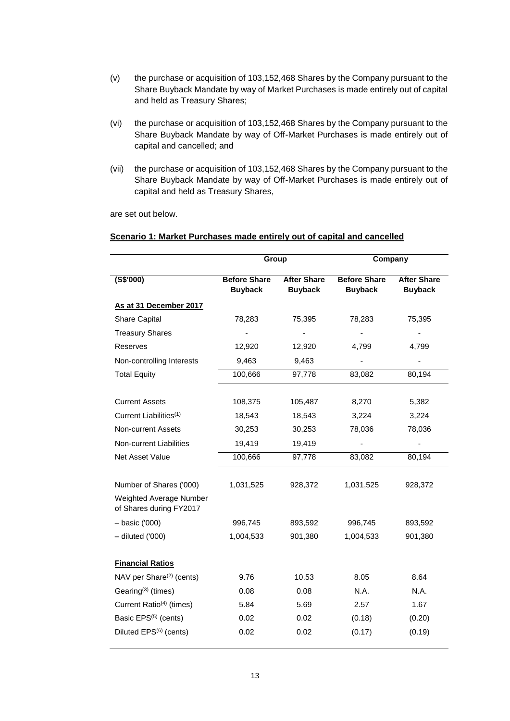- (v) the purchase or acquisition of 103,152,468 Shares by the Company pursuant to the Share Buyback Mandate by way of Market Purchases is made entirely out of capital and held as Treasury Shares;
- (vi) the purchase or acquisition of 103,152,468 Shares by the Company pursuant to the Share Buyback Mandate by way of Off-Market Purchases is made entirely out of capital and cancelled; and
- (vii) the purchase or acquisition of 103,152,468 Shares by the Company pursuant to the Share Buyback Mandate by way of Off-Market Purchases is made entirely out of capital and held as Treasury Shares,

are set out below.

#### **Scenario 1: Market Purchases made entirely out of capital and cancelled**

|                                                           | Group                                 |                                      | Company                               |                                      |
|-----------------------------------------------------------|---------------------------------------|--------------------------------------|---------------------------------------|--------------------------------------|
| $($ S\$'000)                                              | <b>Before Share</b><br><b>Buyback</b> | <b>After Share</b><br><b>Buyback</b> | <b>Before Share</b><br><b>Buyback</b> | <b>After Share</b><br><b>Buyback</b> |
| As at 31 December 2017                                    |                                       |                                      |                                       |                                      |
| <b>Share Capital</b>                                      | 78,283                                | 75,395                               | 78,283                                | 75,395                               |
| <b>Treasury Shares</b>                                    |                                       |                                      |                                       |                                      |
| Reserves                                                  | 12,920                                | 12,920                               | 4,799                                 | 4,799                                |
| Non-controlling Interests                                 | 9,463                                 | 9,463                                |                                       |                                      |
| <b>Total Equity</b>                                       | 100,666                               | 97,778                               | 83,082                                | 80,194                               |
| <b>Current Assets</b>                                     | 108,375                               | 105,487                              | 8,270                                 | 5,382                                |
| Current Liabilities <sup>(1)</sup>                        | 18,543                                | 18,543                               | 3,224                                 | 3,224                                |
| <b>Non-current Assets</b>                                 | 30,253                                | 30,253                               | 78,036                                | 78,036                               |
| Non-current Liabilities                                   | 19,419                                | 19,419                               |                                       |                                      |
| Net Asset Value                                           | 100,666                               | 97,778                               | 83,082                                | 80,194                               |
| Number of Shares ('000)                                   | 1,031,525                             | 928,372                              | 1,031,525                             | 928,372                              |
| <b>Weighted Average Number</b><br>of Shares during FY2017 |                                       |                                      |                                       |                                      |
| $-$ basic ('000)                                          | 996,745                               | 893,592                              | 996,745                               | 893,592                              |
| $-$ diluted ('000)                                        | 1,004,533                             | 901,380                              | 1,004,533                             | 901,380                              |
| <b>Financial Ratios</b>                                   |                                       |                                      |                                       |                                      |
| NAV per Share <sup>(2)</sup> (cents)                      | 9.76                                  | 10.53                                | 8.05                                  | 8.64                                 |
| Gearing <sup>(3)</sup> (times)                            | 0.08                                  | 0.08                                 | N.A.                                  | N.A.                                 |
| Current Ratio <sup>(4)</sup> (times)                      | 5.84                                  | 5.69                                 | 2.57                                  | 1.67                                 |
| Basic EPS <sup>(5)</sup> (cents)                          | 0.02                                  | 0.02                                 | (0.18)                                | (0.20)                               |
| Diluted EPS <sup>(6)</sup> (cents)                        | 0.02                                  | 0.02                                 | (0.17)                                | (0.19)                               |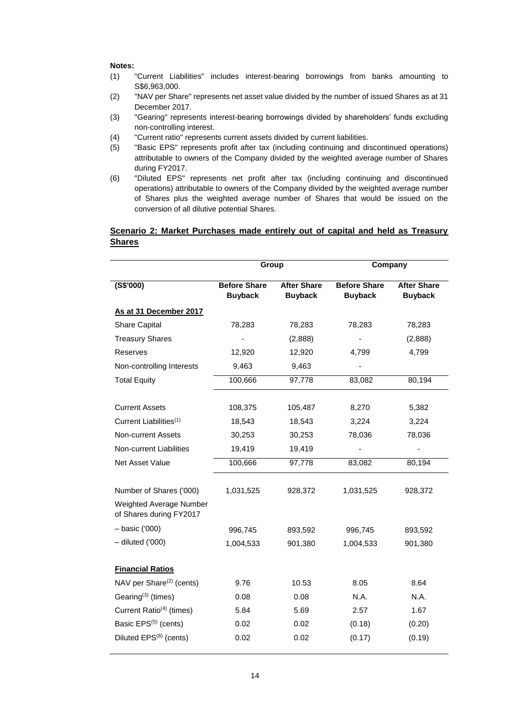- (1) "Current Liabilities" includes interest-bearing borrowings from banks amounting to S\$6,963,000.
- (2) "NAV per Share" represents net asset value divided by the number of issued Shares as at 31 December 2017.
- (3) "Gearing" represents interest-bearing borrowings divided by shareholders' funds excluding non-controlling interest.
- (4) "Current ratio" represents current assets divided by current liabilities.
- (5) "Basic EPS" represents profit after tax (including continuing and discontinued operations) attributable to owners of the Company divided by the weighted average number of Shares during FY2017.
- (6) "Diluted EPS" represents net profit after tax (including continuing and discontinued operations) attributable to owners of the Company divided by the weighted average number of Shares plus the weighted average number of Shares that would be issued on the conversion of all dilutive potential Shares.

## **Scenario 2: Market Purchases made entirely out of capital and held as Treasury Shares**

|                                                    | Group               |                    | Company             |                    |
|----------------------------------------------------|---------------------|--------------------|---------------------|--------------------|
| (S\$'000)                                          | <b>Before Share</b> | <b>After Share</b> | <b>Before Share</b> | <b>After Share</b> |
|                                                    | <b>Buyback</b>      | <b>Buyback</b>     | <b>Buyback</b>      | <b>Buyback</b>     |
| As at 31 December 2017                             |                     |                    |                     |                    |
| Share Capital                                      | 78,283              | 78,283             | 78,283              | 78,283             |
| <b>Treasury Shares</b>                             |                     | (2,888)            |                     | (2,888)            |
| Reserves                                           | 12,920              | 12,920             | 4,799               | 4,799              |
| Non-controlling Interests                          | 9,463               | 9,463              |                     |                    |
| <b>Total Equity</b>                                | 100,666             | 97,778             | 83,082              | 80,194             |
|                                                    |                     |                    |                     |                    |
| <b>Current Assets</b>                              | 108,375             | 105,487            | 8,270               | 5,382              |
| Current Liabilities <sup>(1)</sup>                 | 18,543              | 18,543             | 3,224               | 3,224              |
| Non-current Assets                                 | 30,253              | 30,253             | 78,036              | 78,036             |
| Non-current Liabilities                            | 19,419              | 19,419             |                     | ÷                  |
| Net Asset Value                                    | 100,666             | 97,778             | 83,082              | 80,194             |
| Number of Shares ('000)                            | 1,031,525           |                    | 1,031,525           |                    |
|                                                    |                     | 928,372            |                     | 928,372            |
| Weighted Average Number<br>of Shares during FY2017 |                     |                    |                     |                    |
| - basic ('000)                                     | 996,745             | 893,592            | 996,745             | 893,592            |
| $-$ diluted ('000)                                 | 1,004,533           | 901,380            | 1,004,533           | 901,380            |
| <b>Financial Ratios</b>                            |                     |                    |                     |                    |
| NAV per Share <sup>(2)</sup> (cents)               | 9.76                | 10.53              | 8.05                | 8.64               |
| Gearing <sup>(3)</sup> (times)                     | 0.08                | 0.08               | N.A.                | N.A.               |
| Current Ratio <sup>(4)</sup> (times)               | 5.84                | 5.69               | 2.57                | 1.67               |
| Basic EPS <sup>(5)</sup> (cents)                   | 0.02                | 0.02               | (0.18)              | (0.20)             |
| Diluted EPS <sup>(6)</sup> (cents)                 | 0.02                | 0.02               | (0.17)              | (0.19)             |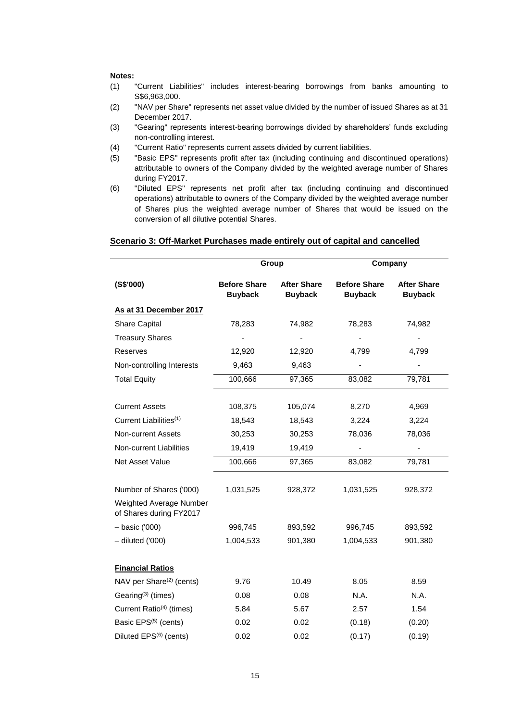- (1) "Current Liabilities" includes interest-bearing borrowings from banks amounting to S\$6,963,000.
- (2) "NAV per Share" represents net asset value divided by the number of issued Shares as at 31 December 2017.
- (3) "Gearing" represents interest-bearing borrowings divided by shareholders' funds excluding non-controlling interest.
- (4) "Current Ratio" represents current assets divided by current liabilities.
- (5) "Basic EPS" represents profit after tax (including continuing and discontinued operations) attributable to owners of the Company divided by the weighted average number of Shares during FY2017.
- (6) "Diluted EPS" represents net profit after tax (including continuing and discontinued operations) attributable to owners of the Company divided by the weighted average number of Shares plus the weighted average number of Shares that would be issued on the conversion of all dilutive potential Shares.

#### **Scenario 3: Off-Market Purchases made entirely out of capital and cancelled**

|                                                    | Group               |                    | Company             |                    |
|----------------------------------------------------|---------------------|--------------------|---------------------|--------------------|
| $($ S\$'000)                                       | <b>Before Share</b> | <b>After Share</b> | <b>Before Share</b> | <b>After Share</b> |
|                                                    | <b>Buyback</b>      | <b>Buyback</b>     | <b>Buyback</b>      | <b>Buyback</b>     |
| As at 31 December 2017                             |                     |                    |                     |                    |
| <b>Share Capital</b>                               | 78,283              | 74,982             | 78,283              | 74,982             |
| <b>Treasury Shares</b>                             |                     |                    |                     |                    |
| Reserves                                           | 12,920              | 12,920             | 4,799               | 4,799              |
| Non-controlling Interests                          | 9,463               | 9,463              |                     |                    |
| <b>Total Equity</b>                                | 100,666             | 97,365             | 83,082              | 79,781             |
|                                                    |                     |                    |                     |                    |
| <b>Current Assets</b>                              | 108,375             | 105,074            | 8,270               | 4,969              |
| Current Liabilities <sup>(1)</sup>                 | 18,543              | 18,543             | 3,224               | 3,224              |
| <b>Non-current Assets</b>                          | 30,253              | 30,253             | 78,036              | 78,036             |
| Non-current Liabilities                            | 19,419              | 19,419             |                     |                    |
| Net Asset Value                                    | 100,666             | 97,365             | 83,082              | 79,781             |
|                                                    |                     |                    |                     |                    |
| Number of Shares ('000)                            | 1,031,525           | 928,372            | 1,031,525           | 928,372            |
| Weighted Average Number<br>of Shares during FY2017 |                     |                    |                     |                    |
| $-$ basic ('000)                                   | 996,745             | 893,592            | 996,745             | 893,592            |
| $-$ diluted ('000)                                 | 1,004,533           | 901,380            | 1,004,533           | 901,380            |
| <b>Financial Ratios</b>                            |                     |                    |                     |                    |
| NAV per Share <sup>(2)</sup> (cents)               | 9.76                | 10.49              | 8.05                | 8.59               |
| Gearing <sup>(3)</sup> (times)                     | 0.08                | 0.08               | N.A.                | N.A.               |
| Current Ratio <sup>(4)</sup> (times)               | 5.84                | 5.67               | 2.57                | 1.54               |
| Basic EPS <sup>(5)</sup> (cents)                   | 0.02                | 0.02               | (0.18)              | (0.20)             |
| Diluted EPS <sup>(6)</sup> (cents)                 | 0.02                | 0.02               | (0.17)              | (0.19)             |
|                                                    |                     |                    |                     |                    |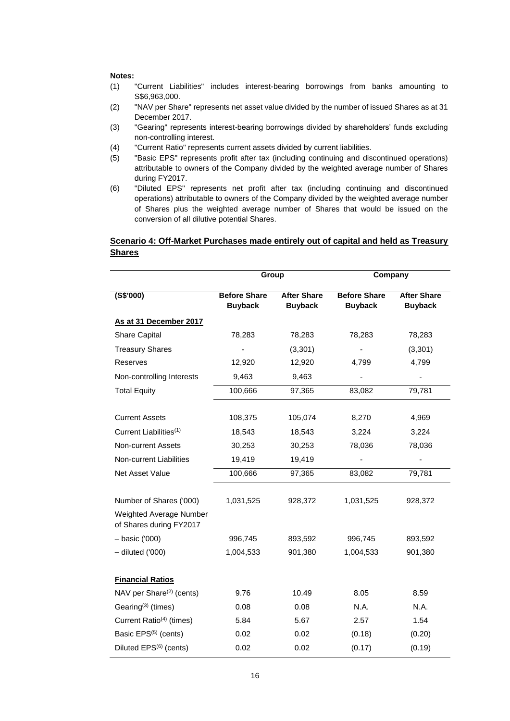- (1) "Current Liabilities" includes interest-bearing borrowings from banks amounting to S\$6,963,000.
- (2) "NAV per Share" represents net asset value divided by the number of issued Shares as at 31 December 2017.
- (3) "Gearing" represents interest-bearing borrowings divided by shareholders' funds excluding non-controlling interest.
- (4) "Current Ratio" represents current assets divided by current liabilities.
- (5) "Basic EPS" represents profit after tax (including continuing and discontinued operations) attributable to owners of the Company divided by the weighted average number of Shares during FY2017.
- (6) "Diluted EPS" represents net profit after tax (including continuing and discontinued operations) attributable to owners of the Company divided by the weighted average number of Shares plus the weighted average number of Shares that would be issued on the conversion of all dilutive potential Shares.

## **Scenario 4: Off-Market Purchases made entirely out of capital and held as Treasury Shares**

|                                                    | Group                                 |                                      | Company                               |                                      |
|----------------------------------------------------|---------------------------------------|--------------------------------------|---------------------------------------|--------------------------------------|
| $($ S\$'000)                                       | <b>Before Share</b><br><b>Buyback</b> | <b>After Share</b><br><b>Buyback</b> | <b>Before Share</b><br><b>Buyback</b> | <b>After Share</b><br><b>Buyback</b> |
| As at 31 December 2017                             |                                       |                                      |                                       |                                      |
| <b>Share Capital</b>                               | 78,283                                | 78,283                               | 78,283                                | 78,283                               |
| <b>Treasury Shares</b>                             |                                       | (3,301)                              |                                       | (3,301)                              |
| Reserves                                           | 12,920                                | 12,920                               | 4,799                                 | 4,799                                |
| Non-controlling Interests                          | 9,463                                 | 9,463                                |                                       |                                      |
| <b>Total Equity</b>                                | 100,666                               | 97,365                               | 83,082                                | 79,781                               |
| <b>Current Assets</b>                              | 108,375                               | 105,074                              | 8,270                                 | 4,969                                |
| Current Liabilities <sup>(1)</sup>                 | 18,543                                | 18,543                               | 3,224                                 | 3,224                                |
| <b>Non-current Assets</b>                          | 30,253                                | 30,253                               | 78,036                                | 78,036                               |
| Non-current Liabilities                            | 19,419                                | 19,419                               |                                       |                                      |
| Net Asset Value                                    | 100,666                               | 97,365                               | 83,082                                | 79,781                               |
| Number of Shares ('000)                            | 1,031,525                             | 928,372                              | 1,031,525                             | 928,372                              |
| Weighted Average Number<br>of Shares during FY2017 |                                       |                                      |                                       |                                      |
| $-$ basic ('000)                                   | 996,745                               | 893,592                              | 996,745                               | 893,592                              |
| $-$ diluted ('000)                                 | 1,004,533                             | 901,380                              | 1,004,533                             | 901,380                              |
| <b>Financial Ratios</b>                            |                                       |                                      |                                       |                                      |
| NAV per Share <sup>(2)</sup> (cents)               | 9.76                                  | 10.49                                | 8.05                                  | 8.59                                 |
| Gearing <sup>(3)</sup> (times)                     | 0.08                                  | 0.08                                 | N.A.                                  | N.A.                                 |
| Current Ratio <sup>(4)</sup> (times)               | 5.84                                  | 5.67                                 | 2.57                                  | 1.54                                 |
| Basic EPS <sup>(5)</sup> (cents)                   | 0.02                                  | 0.02                                 | (0.18)                                | (0.20)                               |
| Diluted EPS <sup>(6)</sup> (cents)                 | 0.02                                  | 0.02                                 | (0.17)                                | (0.19)                               |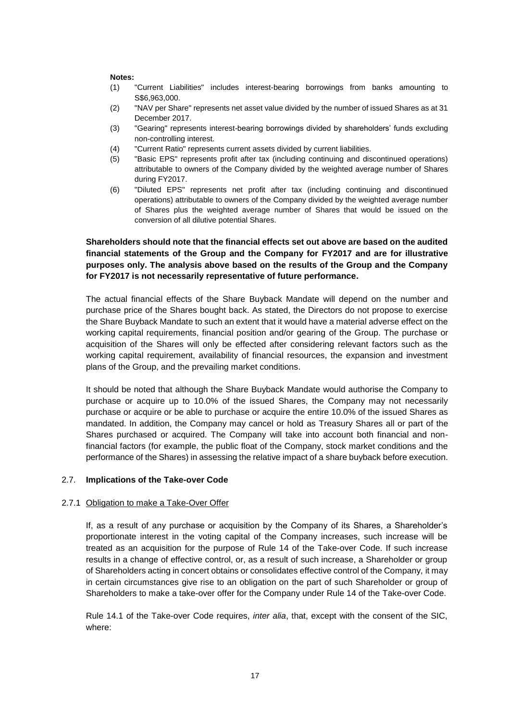- (1) "Current Liabilities" includes interest-bearing borrowings from banks amounting to S\$6,963,000.
- (2) "NAV per Share" represents net asset value divided by the number of issued Shares as at 31 December 2017.
- (3) "Gearing" represents interest-bearing borrowings divided by shareholders' funds excluding non-controlling interest.
- (4) "Current Ratio" represents current assets divided by current liabilities.
- (5) "Basic EPS" represents profit after tax (including continuing and discontinued operations) attributable to owners of the Company divided by the weighted average number of Shares during FY2017.
- (6) "Diluted EPS" represents net profit after tax (including continuing and discontinued operations) attributable to owners of the Company divided by the weighted average number of Shares plus the weighted average number of Shares that would be issued on the conversion of all dilutive potential Shares.

## **Shareholders should note that the financial effects set out above are based on the audited financial statements of the Group and the Company for FY2017 and are for illustrative purposes only. The analysis above based on the results of the Group and the Company for FY2017 is not necessarily representative of future performance.**

The actual financial effects of the Share Buyback Mandate will depend on the number and purchase price of the Shares bought back. As stated, the Directors do not propose to exercise the Share Buyback Mandate to such an extent that it would have a material adverse effect on the working capital requirements, financial position and/or gearing of the Group. The purchase or acquisition of the Shares will only be effected after considering relevant factors such as the working capital requirement, availability of financial resources, the expansion and investment plans of the Group, and the prevailing market conditions.

It should be noted that although the Share Buyback Mandate would authorise the Company to purchase or acquire up to 10.0% of the issued Shares, the Company may not necessarily purchase or acquire or be able to purchase or acquire the entire 10.0% of the issued Shares as mandated. In addition, the Company may cancel or hold as Treasury Shares all or part of the Shares purchased or acquired. The Company will take into account both financial and nonfinancial factors (for example, the public float of the Company, stock market conditions and the performance of the Shares) in assessing the relative impact of a share buyback before execution.

#### 2.7. **Implications of the Take-over Code**

#### 2.7.1 Obligation to make a Take-Over Offer

If, as a result of any purchase or acquisition by the Company of its Shares, a Shareholder's proportionate interest in the voting capital of the Company increases, such increase will be treated as an acquisition for the purpose of Rule 14 of the Take-over Code. If such increase results in a change of effective control, or, as a result of such increase, a Shareholder or group of Shareholders acting in concert obtains or consolidates effective control of the Company, it may in certain circumstances give rise to an obligation on the part of such Shareholder or group of Shareholders to make a take-over offer for the Company under Rule 14 of the Take-over Code.

Rule 14.1 of the Take-over Code requires, *inter alia*, that, except with the consent of the SIC, where: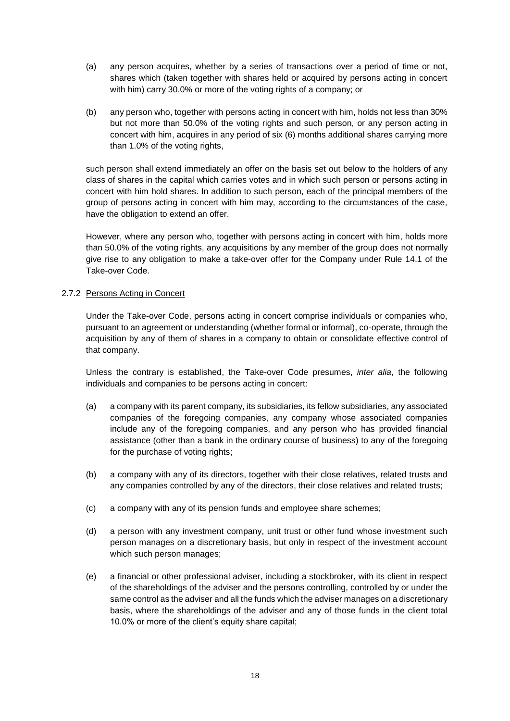- (a) any person acquires, whether by a series of transactions over a period of time or not, shares which (taken together with shares held or acquired by persons acting in concert with him) carry 30.0% or more of the voting rights of a company; or
- (b) any person who, together with persons acting in concert with him, holds not less than 30% but not more than 50.0% of the voting rights and such person, or any person acting in concert with him, acquires in any period of six (6) months additional shares carrying more than 1.0% of the voting rights,

such person shall extend immediately an offer on the basis set out below to the holders of any class of shares in the capital which carries votes and in which such person or persons acting in concert with him hold shares. In addition to such person, each of the principal members of the group of persons acting in concert with him may, according to the circumstances of the case, have the obligation to extend an offer.

However, where any person who, together with persons acting in concert with him, holds more than 50.0% of the voting rights, any acquisitions by any member of the group does not normally give rise to any obligation to make a take-over offer for the Company under Rule 14.1 of the Take-over Code.

## 2.7.2 Persons Acting in Concert

Under the Take-over Code, persons acting in concert comprise individuals or companies who, pursuant to an agreement or understanding (whether formal or informal), co-operate, through the acquisition by any of them of shares in a company to obtain or consolidate effective control of that company.

Unless the contrary is established, the Take-over Code presumes, *inter alia*, the following individuals and companies to be persons acting in concert:

- (a) a company with its parent company, its subsidiaries, its fellow subsidiaries, any associated companies of the foregoing companies, any company whose associated companies include any of the foregoing companies, and any person who has provided financial assistance (other than a bank in the ordinary course of business) to any of the foregoing for the purchase of voting rights;
- (b) a company with any of its directors, together with their close relatives, related trusts and any companies controlled by any of the directors, their close relatives and related trusts;
- (c) a company with any of its pension funds and employee share schemes;
- (d) a person with any investment company, unit trust or other fund whose investment such person manages on a discretionary basis, but only in respect of the investment account which such person manages;
- (e) a financial or other professional adviser, including a stockbroker, with its client in respect of the shareholdings of the adviser and the persons controlling, controlled by or under the same control as the adviser and all the funds which the adviser manages on a discretionary basis, where the shareholdings of the adviser and any of those funds in the client total 10.0% or more of the client's equity share capital;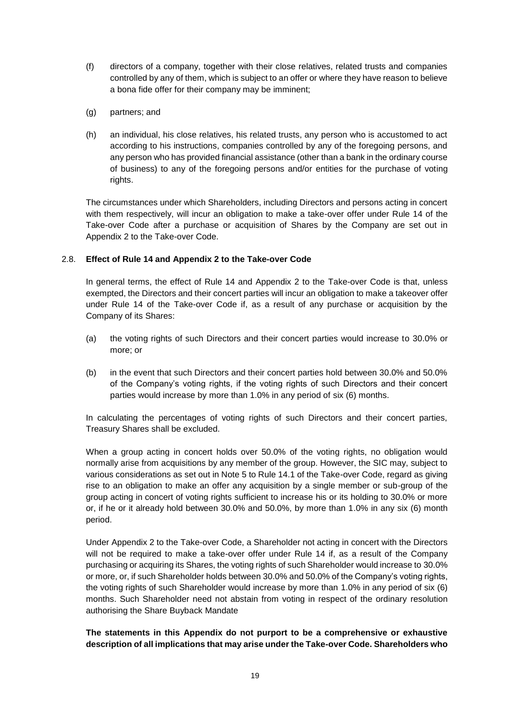- (f) directors of a company, together with their close relatives, related trusts and companies controlled by any of them, which is subject to an offer or where they have reason to believe a bona fide offer for their company may be imminent;
- (g) partners; and
- (h) an individual, his close relatives, his related trusts, any person who is accustomed to act according to his instructions, companies controlled by any of the foregoing persons, and any person who has provided financial assistance (other than a bank in the ordinary course of business) to any of the foregoing persons and/or entities for the purchase of voting rights.

The circumstances under which Shareholders, including Directors and persons acting in concert with them respectively, will incur an obligation to make a take-over offer under Rule 14 of the Take-over Code after a purchase or acquisition of Shares by the Company are set out in Appendix 2 to the Take-over Code.

## 2.8. **Effect of Rule 14 and Appendix 2 to the Take-over Code**

In general terms, the effect of Rule 14 and Appendix 2 to the Take-over Code is that, unless exempted, the Directors and their concert parties will incur an obligation to make a takeover offer under Rule 14 of the Take-over Code if, as a result of any purchase or acquisition by the Company of its Shares:

- (a) the voting rights of such Directors and their concert parties would increase to 30.0% or more; or
- (b) in the event that such Directors and their concert parties hold between 30.0% and 50.0% of the Company's voting rights, if the voting rights of such Directors and their concert parties would increase by more than 1.0% in any period of six (6) months.

In calculating the percentages of voting rights of such Directors and their concert parties, Treasury Shares shall be excluded.

When a group acting in concert holds over 50.0% of the voting rights, no obligation would normally arise from acquisitions by any member of the group. However, the SIC may, subject to various considerations as set out in Note 5 to Rule 14.1 of the Take-over Code, regard as giving rise to an obligation to make an offer any acquisition by a single member or sub-group of the group acting in concert of voting rights sufficient to increase his or its holding to 30.0% or more or, if he or it already hold between 30.0% and 50.0%, by more than 1.0% in any six (6) month period.

Under Appendix 2 to the Take-over Code, a Shareholder not acting in concert with the Directors will not be required to make a take-over offer under Rule 14 if, as a result of the Company purchasing or acquiring its Shares, the voting rights of such Shareholder would increase to 30.0% or more, or, if such Shareholder holds between 30.0% and 50.0% of the Company's voting rights, the voting rights of such Shareholder would increase by more than 1.0% in any period of six (6) months. Such Shareholder need not abstain from voting in respect of the ordinary resolution authorising the Share Buyback Mandate

## **The statements in this Appendix do not purport to be a comprehensive or exhaustive description of all implications that may arise under the Take-over Code. Shareholders who**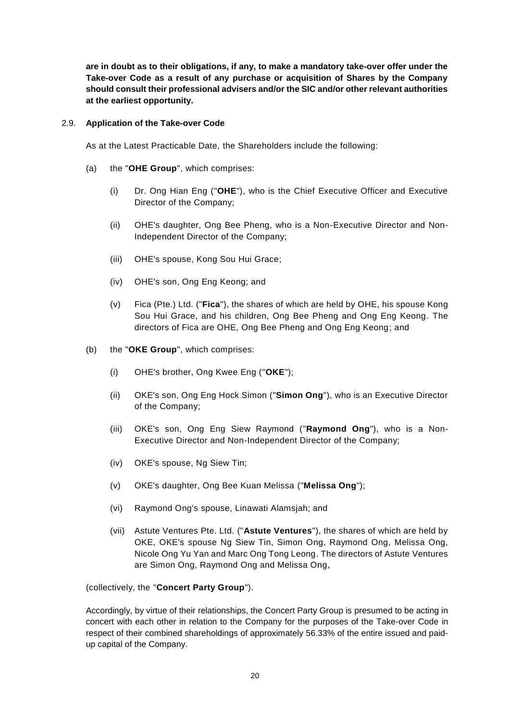**are in doubt as to their obligations, if any, to make a mandatory take-over offer under the Take-over Code as a result of any purchase or acquisition of Shares by the Company should consult their professional advisers and/or the SIC and/or other relevant authorities at the earliest opportunity.**

#### 2.9. **Application of the Take-over Code**

As at the Latest Practicable Date, the Shareholders include the following:

- (a) the "**OHE Group**", which comprises:
	- (i) Dr. Ong Hian Eng ("**OHE**"), who is the Chief Executive Officer and Executive Director of the Company;
	- (ii) OHE's daughter, Ong Bee Pheng, who is a Non-Executive Director and Non-Independent Director of the Company;
	- (iii) OHE's spouse, Kong Sou Hui Grace;
	- (iv) OHE's son, Ong Eng Keong; and
	- (v) Fica (Pte.) Ltd. ("**Fica**"), the shares of which are held by OHE, his spouse Kong Sou Hui Grace, and his children, Ong Bee Pheng and Ong Eng Keong. The directors of Fica are OHE, Ong Bee Pheng and Ong Eng Keong; and
- (b) the "**OKE Group**", which comprises:
	- (i) OHE's brother, Ong Kwee Eng ("**OKE**");
	- (ii) OKE's son, Ong Eng Hock Simon ("**Simon Ong**"), who is an Executive Director of the Company;
	- (iii) OKE's son, Ong Eng Siew Raymond ("**Raymond Ong**"), who is a Non-Executive Director and Non-Independent Director of the Company;
	- (iv) OKE's spouse, Ng Siew Tin;
	- (v) OKE's daughter, Ong Bee Kuan Melissa ("**Melissa Ong**");
	- (vi) Raymond Ong's spouse, Linawati Alamsjah; and
	- (vii) Astute Ventures Pte. Ltd. ("**Astute Ventures**"), the shares of which are held by OKE, OKE's spouse Ng Siew Tin, Simon Ong, Raymond Ong, Melissa Ong, Nicole Ong Yu Yan and Marc Ong Tong Leong. The directors of Astute Ventures are Simon Ong, Raymond Ong and Melissa Ong,

(collectively, the "**Concert Party Group**").

Accordingly, by virtue of their relationships, the Concert Party Group is presumed to be acting in concert with each other in relation to the Company for the purposes of the Take-over Code in respect of their combined shareholdings of approximately 56.33% of the entire issued and paidup capital of the Company.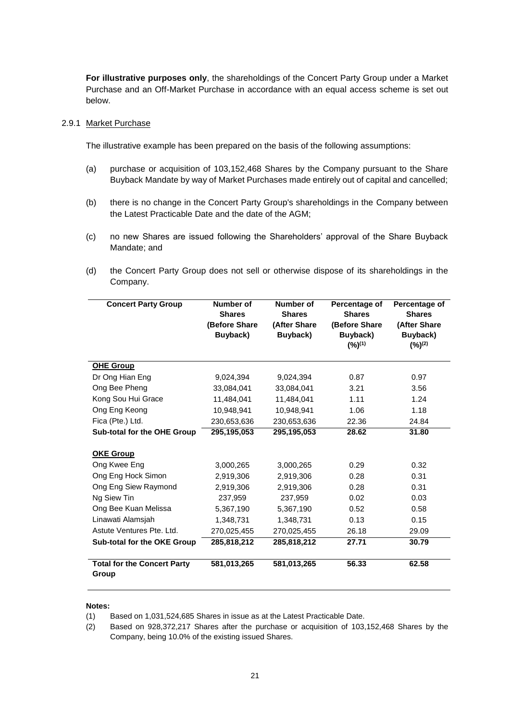**For illustrative purposes only**, the shareholdings of the Concert Party Group under a Market Purchase and an Off-Market Purchase in accordance with an equal access scheme is set out below.

#### 2.9.1 Market Purchase

The illustrative example has been prepared on the basis of the following assumptions:

- (a) purchase or acquisition of 103,152,468 Shares by the Company pursuant to the Share Buyback Mandate by way of Market Purchases made entirely out of capital and cancelled;
- (b) there is no change in the Concert Party Group's shareholdings in the Company between the Latest Practicable Date and the date of the AGM;
- (c) no new Shares are issued following the Shareholders' approval of the Share Buyback Mandate; and
- (d) the Concert Party Group does not sell or otherwise dispose of its shareholdings in the Company.

| <b>Concert Party Group</b>                  | Number of<br><b>Shares</b><br>(Before Share)<br>Buyback) | Number of<br><b>Shares</b><br>(After Share)<br>Buyback) | Percentage of<br><b>Shares</b><br>(Before Share)<br>Buyback)<br>(%) <sup>(1)</sup> | Percentage of<br><b>Shares</b><br>(After Share<br>Buyback)<br>(%) <sup>(2)</sup> |
|---------------------------------------------|----------------------------------------------------------|---------------------------------------------------------|------------------------------------------------------------------------------------|----------------------------------------------------------------------------------|
| <b>OHE Group</b>                            |                                                          |                                                         |                                                                                    |                                                                                  |
| Dr Ong Hian Eng                             | 9,024,394                                                | 9,024,394                                               | 0.87                                                                               | 0.97                                                                             |
| Ong Bee Pheng                               | 33,084,041                                               | 33,084,041                                              | 3.21                                                                               | 3.56                                                                             |
| Kong Sou Hui Grace                          | 11,484,041                                               | 11,484,041                                              | 1.11                                                                               | 1.24                                                                             |
| Ong Eng Keong                               | 10,948,941                                               | 10,948,941                                              | 1.06                                                                               | 1.18                                                                             |
| Fica (Pte.) Ltd.                            | 230,653,636                                              | 230,653,636                                             | 22.36                                                                              | 24.84                                                                            |
| Sub-total for the OHE Group                 | 295.195.053                                              | 295,195,053                                             | 28.62                                                                              | 31.80                                                                            |
| <b>OKE Group</b>                            |                                                          |                                                         |                                                                                    |                                                                                  |
| Ong Kwee Eng                                | 3,000,265                                                | 3,000,265                                               | 0.29                                                                               | 0.32                                                                             |
| Ong Eng Hock Simon                          | 2.919.306                                                | 2,919,306                                               | 0.28                                                                               | 0.31                                                                             |
| Ong Eng Siew Raymond                        | 2,919,306                                                | 2,919,306                                               | 0.28                                                                               | 0.31                                                                             |
| Ng Siew Tin                                 | 237,959                                                  | 237,959                                                 | 0.02                                                                               | 0.03                                                                             |
| Ong Bee Kuan Melissa                        | 5,367,190                                                | 5,367,190                                               | 0.52                                                                               | 0.58                                                                             |
| Linawati Alamsjah                           | 1.348.731                                                | 1.348.731                                               | 0.13                                                                               | 0.15                                                                             |
| Astute Ventures Pte. Ltd.                   | 270,025,455                                              | 270,025,455                                             | 26.18                                                                              | 29.09                                                                            |
| Sub-total for the OKE Group                 | 285,818,212                                              | 285,818,212                                             | 27.71                                                                              | 30.79                                                                            |
| <b>Total for the Concert Party</b><br>Group | 581,013,265                                              | 581,013,265                                             | 56.33                                                                              | 62.58                                                                            |

#### **Notes:**

- (1) Based on 1,031,524,685 Shares in issue as at the Latest Practicable Date.
- (2) Based on 928,372,217 Shares after the purchase or acquisition of 103,152,468 Shares by the Company, being 10.0% of the existing issued Shares.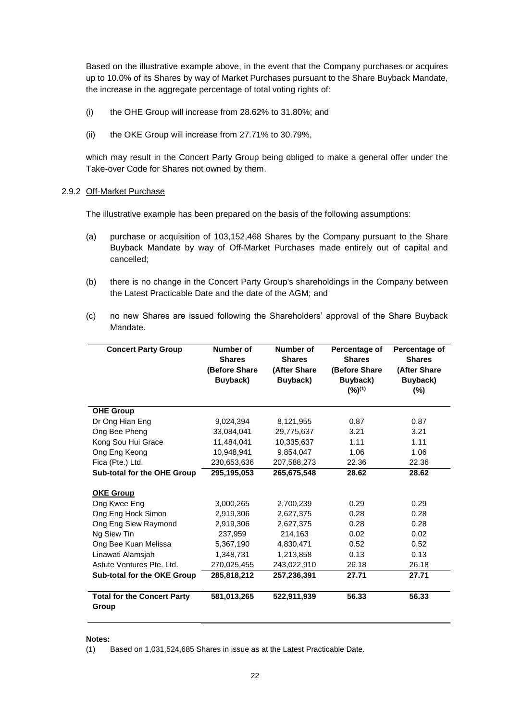Based on the illustrative example above, in the event that the Company purchases or acquires up to 10.0% of its Shares by way of Market Purchases pursuant to the Share Buyback Mandate, the increase in the aggregate percentage of total voting rights of:

- (i) the OHE Group will increase from 28.62% to 31.80%; and
- (ii) the OKE Group will increase from 27.71% to 30.79%,

which may result in the Concert Party Group being obliged to make a general offer under the Take-over Code for Shares not owned by them.

#### 2.9.2 Off-Market Purchase

The illustrative example has been prepared on the basis of the following assumptions:

- (a) purchase or acquisition of 103,152,468 Shares by the Company pursuant to the Share Buyback Mandate by way of Off-Market Purchases made entirely out of capital and cancelled;
- (b) there is no change in the Concert Party Group's shareholdings in the Company between the Latest Practicable Date and the date of the AGM; and
- (c) no new Shares are issued following the Shareholders' approval of the Share Buyback Mandate.

| <b>Concert Party Group</b>                  | Number of<br><b>Shares</b><br>(Before Share<br>Buyback) | Number of<br><b>Shares</b><br>(After Share<br>Buyback) | Percentage of<br><b>Shares</b><br>(Before Share<br>Buyback)<br>(%) <sup>(1)</sup> | Percentage of<br><b>Shares</b><br>(After Share<br>Buyback)<br>(%) |
|---------------------------------------------|---------------------------------------------------------|--------------------------------------------------------|-----------------------------------------------------------------------------------|-------------------------------------------------------------------|
| <b>OHE Group</b>                            |                                                         |                                                        |                                                                                   |                                                                   |
| Dr Ong Hian Eng                             | 9,024,394                                               | 8,121,955                                              | 0.87                                                                              | 0.87                                                              |
| Ong Bee Pheng                               | 33,084,041                                              | 29,775,637                                             | 3.21                                                                              | 3.21                                                              |
| Kong Sou Hui Grace                          | 11,484,041                                              | 10,335,637                                             | 1.11                                                                              | 1.11                                                              |
| Ong Eng Keong                               | 10,948,941                                              | 9,854,047                                              | 1.06                                                                              | 1.06                                                              |
| Fica (Pte.) Ltd.                            | 230,653,636                                             | 207,588,273                                            | 22.36                                                                             | 22.36                                                             |
| Sub-total for the OHE Group                 | 295,195,053                                             | 265,675,548                                            | 28.62                                                                             | 28.62                                                             |
| <b>OKE Group</b>                            |                                                         |                                                        |                                                                                   |                                                                   |
| Ong Kwee Eng                                | 3,000,265                                               | 2,700,239                                              | 0.29                                                                              | 0.29                                                              |
| Ong Eng Hock Simon                          | 2,919,306                                               | 2,627,375                                              | 0.28                                                                              | 0.28                                                              |
| Ong Eng Siew Raymond                        | 2,919,306                                               | 2,627,375                                              | 0.28                                                                              | 0.28                                                              |
| Ng Siew Tin                                 | 237,959                                                 | 214,163                                                | 0.02                                                                              | 0.02                                                              |
| Ong Bee Kuan Melissa                        | 5,367,190                                               | 4,830,471                                              | 0.52                                                                              | 0.52                                                              |
| Linawati Alamsjah                           | 1,348,731                                               | 1,213,858                                              | 0.13                                                                              | 0.13                                                              |
| Astute Ventures Pte. Ltd.                   | 270,025,455                                             | 243,022,910                                            | 26.18                                                                             | 26.18                                                             |
| Sub-total for the OKE Group                 | 285,818,212                                             | 257,236,391                                            | 27.71                                                                             | 27.71                                                             |
| <b>Total for the Concert Party</b><br>Group | 581,013,265                                             | 522,911,939                                            | 56.33                                                                             | 56.33                                                             |

#### **Notes:**

(1) Based on 1,031,524,685 Shares in issue as at the Latest Practicable Date.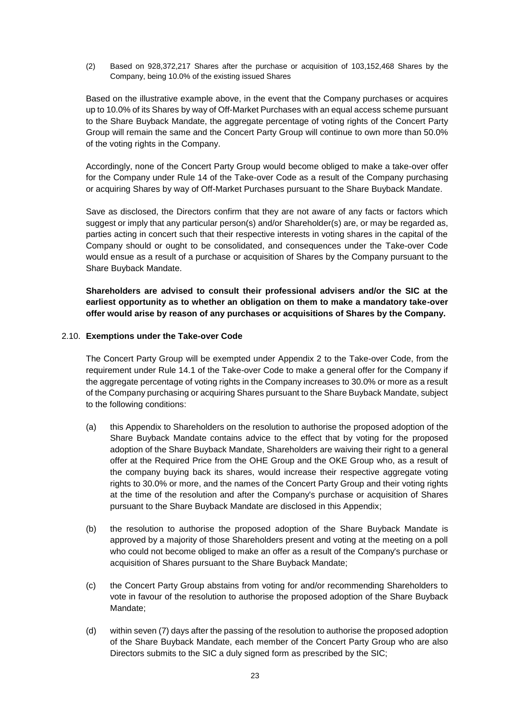(2) Based on 928,372,217 Shares after the purchase or acquisition of 103,152,468 Shares by the Company, being 10.0% of the existing issued Shares

Based on the illustrative example above, in the event that the Company purchases or acquires up to 10.0% of its Shares by way of Off-Market Purchases with an equal access scheme pursuant to the Share Buyback Mandate, the aggregate percentage of voting rights of the Concert Party Group will remain the same and the Concert Party Group will continue to own more than 50.0% of the voting rights in the Company.

Accordingly, none of the Concert Party Group would become obliged to make a take-over offer for the Company under Rule 14 of the Take-over Code as a result of the Company purchasing or acquiring Shares by way of Off-Market Purchases pursuant to the Share Buyback Mandate.

Save as disclosed, the Directors confirm that they are not aware of any facts or factors which suggest or imply that any particular person(s) and/or Shareholder(s) are, or may be regarded as, parties acting in concert such that their respective interests in voting shares in the capital of the Company should or ought to be consolidated, and consequences under the Take-over Code would ensue as a result of a purchase or acquisition of Shares by the Company pursuant to the Share Buyback Mandate.

**Shareholders are advised to consult their professional advisers and/or the SIC at the earliest opportunity as to whether an obligation on them to make a mandatory take-over offer would arise by reason of any purchases or acquisitions of Shares by the Company.**

#### 2.10. **Exemptions under the Take-over Code**

The Concert Party Group will be exempted under Appendix 2 to the Take-over Code, from the requirement under Rule 14.1 of the Take-over Code to make a general offer for the Company if the aggregate percentage of voting rights in the Company increases to 30.0% or more as a result of the Company purchasing or acquiring Shares pursuant to the Share Buyback Mandate, subject to the following conditions:

- (a) this Appendix to Shareholders on the resolution to authorise the proposed adoption of the Share Buyback Mandate contains advice to the effect that by voting for the proposed adoption of the Share Buyback Mandate, Shareholders are waiving their right to a general offer at the Required Price from the OHE Group and the OKE Group who, as a result of the company buying back its shares, would increase their respective aggregate voting rights to 30.0% or more, and the names of the Concert Party Group and their voting rights at the time of the resolution and after the Company's purchase or acquisition of Shares pursuant to the Share Buyback Mandate are disclosed in this Appendix;
- (b) the resolution to authorise the proposed adoption of the Share Buyback Mandate is approved by a majority of those Shareholders present and voting at the meeting on a poll who could not become obliged to make an offer as a result of the Company's purchase or acquisition of Shares pursuant to the Share Buyback Mandate;
- (c) the Concert Party Group abstains from voting for and/or recommending Shareholders to vote in favour of the resolution to authorise the proposed adoption of the Share Buyback Mandate;
- (d) within seven (7) days after the passing of the resolution to authorise the proposed adoption of the Share Buyback Mandate, each member of the Concert Party Group who are also Directors submits to the SIC a duly signed form as prescribed by the SIC;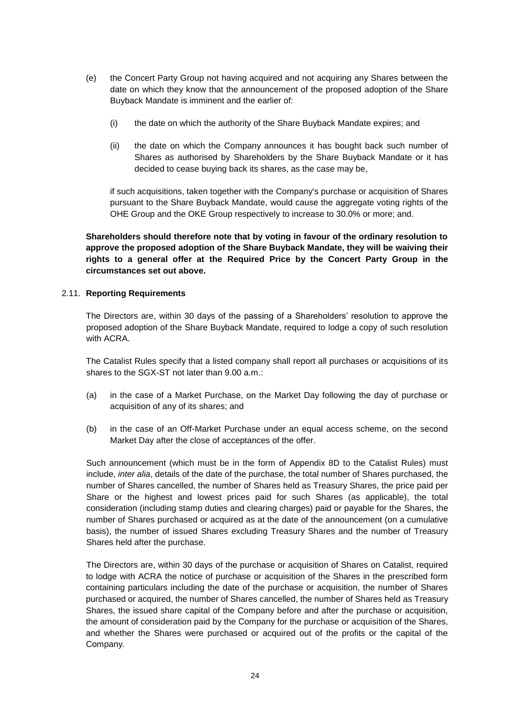- (e) the Concert Party Group not having acquired and not acquiring any Shares between the date on which they know that the announcement of the proposed adoption of the Share Buyback Mandate is imminent and the earlier of:
	- (i) the date on which the authority of the Share Buyback Mandate expires; and
	- (ii) the date on which the Company announces it has bought back such number of Shares as authorised by Shareholders by the Share Buyback Mandate or it has decided to cease buying back its shares, as the case may be,

if such acquisitions, taken together with the Company's purchase or acquisition of Shares pursuant to the Share Buyback Mandate, would cause the aggregate voting rights of the OHE Group and the OKE Group respectively to increase to 30.0% or more; and.

**Shareholders should therefore note that by voting in favour of the ordinary resolution to approve the proposed adoption of the Share Buyback Mandate, they will be waiving their rights to a general offer at the Required Price by the Concert Party Group in the circumstances set out above.**

## 2.11. **Reporting Requirements**

The Directors are, within 30 days of the passing of a Shareholders' resolution to approve the proposed adoption of the Share Buyback Mandate, required to lodge a copy of such resolution with ACRA.

The Catalist Rules specify that a listed company shall report all purchases or acquisitions of its shares to the SGX-ST not later than 9.00 a.m.:

- (a) in the case of a Market Purchase, on the Market Day following the day of purchase or acquisition of any of its shares; and
- (b) in the case of an Off-Market Purchase under an equal access scheme, on the second Market Day after the close of acceptances of the offer.

Such announcement (which must be in the form of Appendix 8D to the Catalist Rules) must include, *inter alia*, details of the date of the purchase, the total number of Shares purchased, the number of Shares cancelled, the number of Shares held as Treasury Shares, the price paid per Share or the highest and lowest prices paid for such Shares (as applicable), the total consideration (including stamp duties and clearing charges) paid or payable for the Shares, the number of Shares purchased or acquired as at the date of the announcement (on a cumulative basis), the number of issued Shares excluding Treasury Shares and the number of Treasury Shares held after the purchase.

The Directors are, within 30 days of the purchase or acquisition of Shares on Catalist, required to lodge with ACRA the notice of purchase or acquisition of the Shares in the prescribed form containing particulars including the date of the purchase or acquisition, the number of Shares purchased or acquired, the number of Shares cancelled, the number of Shares held as Treasury Shares, the issued share capital of the Company before and after the purchase or acquisition, the amount of consideration paid by the Company for the purchase or acquisition of the Shares, and whether the Shares were purchased or acquired out of the profits or the capital of the Company.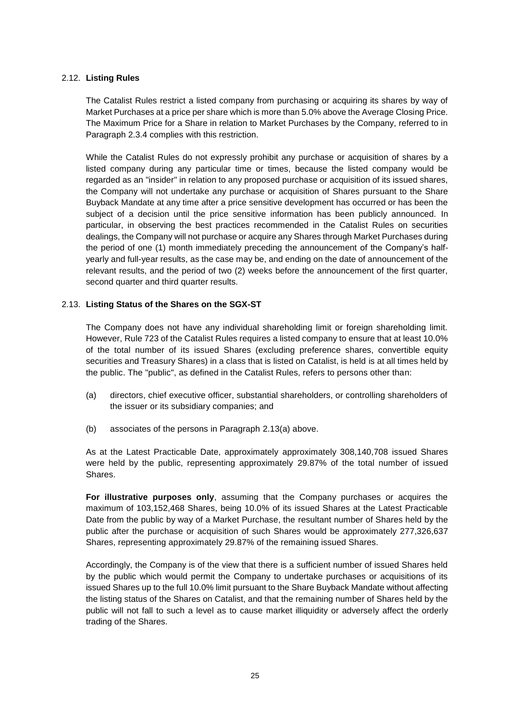## 2.12. **Listing Rules**

The Catalist Rules restrict a listed company from purchasing or acquiring its shares by way of Market Purchases at a price per share which is more than 5.0% above the Average Closing Price. The Maximum Price for a Share in relation to Market Purchases by the Company, referred to in Paragraph 2.3.4 complies with this restriction.

While the Catalist Rules do not expressly prohibit any purchase or acquisition of shares by a listed company during any particular time or times, because the listed company would be regarded as an "insider" in relation to any proposed purchase or acquisition of its issued shares, the Company will not undertake any purchase or acquisition of Shares pursuant to the Share Buyback Mandate at any time after a price sensitive development has occurred or has been the subject of a decision until the price sensitive information has been publicly announced. In particular, in observing the best practices recommended in the Catalist Rules on securities dealings, the Company will not purchase or acquire any Shares through Market Purchases during the period of one (1) month immediately preceding the announcement of the Company's halfyearly and full-year results, as the case may be, and ending on the date of announcement of the relevant results, and the period of two (2) weeks before the announcement of the first quarter, second quarter and third quarter results.

## 2.13. **Listing Status of the Shares on the SGX-ST**

The Company does not have any individual shareholding limit or foreign shareholding limit. However, Rule 723 of the Catalist Rules requires a listed company to ensure that at least 10.0% of the total number of its issued Shares (excluding preference shares, convertible equity securities and Treasury Shares) in a class that is listed on Catalist, is held is at all times held by the public. The "public", as defined in the Catalist Rules, refers to persons other than:

- (a) directors, chief executive officer, substantial shareholders, or controlling shareholders of the issuer or its subsidiary companies; and
- (b) associates of the persons in Paragraph 2.13(a) above.

As at the Latest Practicable Date, approximately approximately 308,140,708 issued Shares were held by the public, representing approximately 29.87% of the total number of issued Shares.

**For illustrative purposes only**, assuming that the Company purchases or acquires the maximum of 103,152,468 Shares, being 10.0% of its issued Shares at the Latest Practicable Date from the public by way of a Market Purchase, the resultant number of Shares held by the public after the purchase or acquisition of such Shares would be approximately 277,326,637 Shares, representing approximately 29.87% of the remaining issued Shares.

Accordingly, the Company is of the view that there is a sufficient number of issued Shares held by the public which would permit the Company to undertake purchases or acquisitions of its issued Shares up to the full 10.0% limit pursuant to the Share Buyback Mandate without affecting the listing status of the Shares on Catalist, and that the remaining number of Shares held by the public will not fall to such a level as to cause market illiquidity or adversely affect the orderly trading of the Shares.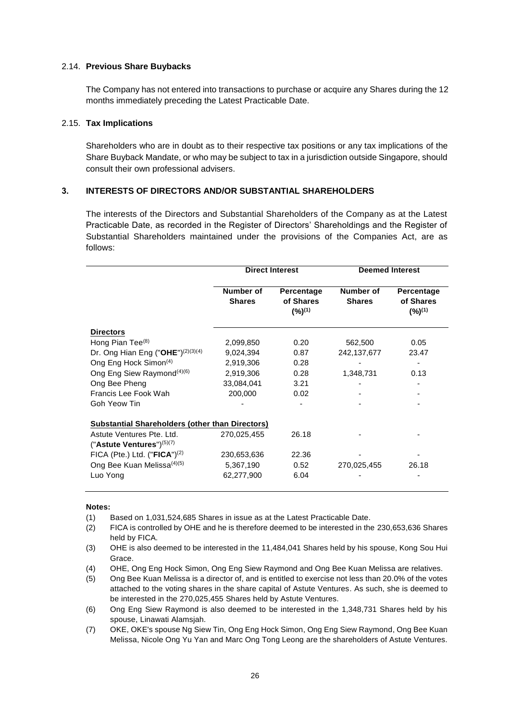#### 2.14. **Previous Share Buybacks**

The Company has not entered into transactions to purchase or acquire any Shares during the 12 months immediately preceding the Latest Practicable Date.

#### 2.15. **Tax Implications**

Shareholders who are in doubt as to their respective tax positions or any tax implications of the Share Buyback Mandate, or who may be subject to tax in a jurisdiction outside Singapore, should consult their own professional advisers.

## **3. INTERESTS OF DIRECTORS AND/OR SUBSTANTIAL SHAREHOLDERS**

The interests of the Directors and Substantial Shareholders of the Company as at the Latest Practicable Date, as recorded in the Register of Directors' Shareholdings and the Register of Substantial Shareholders maintained under the provisions of the Companies Act, are as follows:

|                                                        |                            | <b>Direct Interest</b>                        | <b>Deemed Interest</b>     |                                                      |
|--------------------------------------------------------|----------------------------|-----------------------------------------------|----------------------------|------------------------------------------------------|
|                                                        | Number of<br><b>Shares</b> | Percentage<br>of Shares<br>(%) <sup>(1)</sup> | Number of<br><b>Shares</b> | <b>Percentage</b><br>of Shares<br>(%) <sup>(1)</sup> |
| <b>Directors</b>                                       |                            |                                               |                            |                                                      |
| Hong Pian Tee <sup>(8)</sup>                           | 2,099,850                  | 0.20                                          | 562,500                    | 0.05                                                 |
| Dr. Ong Hian Eng ("OHE") <sup>(2)(3)(4)</sup>          | 9,024,394                  | 0.87                                          | 242,137,677                | 23.47                                                |
| Ong Eng Hock Simon <sup>(4)</sup>                      | 2,919,306                  | 0.28                                          |                            |                                                      |
| Ong Eng Siew Raymond <sup>(4)(6)</sup>                 | 2,919,306                  | 0.28                                          | 1,348,731                  | 0.13                                                 |
| Ong Bee Pheng                                          | 33,084,041                 | 3.21                                          |                            |                                                      |
| Francis Lee Fook Wah                                   | 200,000                    | 0.02                                          |                            |                                                      |
| Goh Yeow Tin                                           |                            |                                               |                            |                                                      |
| <b>Substantial Shareholders (other than Directors)</b> |                            |                                               |                            |                                                      |
| Astute Ventures Pte. Ltd.                              | 270,025,455                | 26.18                                         |                            |                                                      |
| $("Astitute Ventures")(5)(7)$                          |                            |                                               |                            |                                                      |
| FICA (Pte.) Ltd. ("FICA") $(2)$                        | 230,653,636                | 22.36                                         |                            |                                                      |
| Ong Bee Kuan Melissa <sup>(4)(5)</sup>                 | 5,367,190                  | 0.52                                          | 270,025,455                | 26.18                                                |
| Luo Yong                                               | 62,277,900                 | 6.04                                          |                            |                                                      |

#### **Notes:**

- (1) Based on 1,031,524,685 Shares in issue as at the Latest Practicable Date.
- (2) FICA is controlled by OHE and he is therefore deemed to be interested in the 230,653,636 Shares held by FICA.
- (3) OHE is also deemed to be interested in the 11,484,041 Shares held by his spouse, Kong Sou Hui Grace.
- (4) OHE, Ong Eng Hock Simon, Ong Eng Siew Raymond and Ong Bee Kuan Melissa are relatives.
- (5) Ong Bee Kuan Melissa is a director of, and is entitled to exercise not less than 20.0% of the votes attached to the voting shares in the share capital of Astute Ventures. As such, she is deemed to be interested in the 270,025,455 Shares held by Astute Ventures.
- (6) Ong Eng Siew Raymond is also deemed to be interested in the 1,348,731 Shares held by his spouse, Linawati Alamsjah.
- (7) OKE, OKE's spouse Ng Siew Tin, Ong Eng Hock Simon, Ong Eng Siew Raymond, Ong Bee Kuan Melissa, Nicole Ong Yu Yan and Marc Ong Tong Leong are the shareholders of Astute Ventures.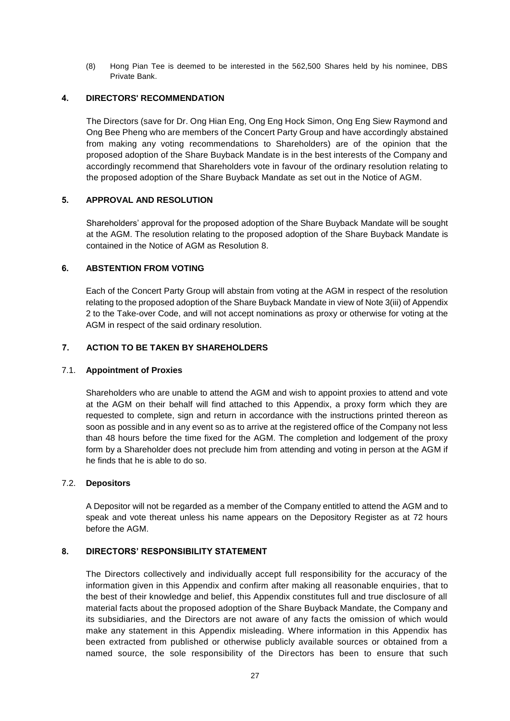(8) Hong Pian Tee is deemed to be interested in the 562,500 Shares held by his nominee, DBS Private Bank.

## **4. DIRECTORS' RECOMMENDATION**

The Directors (save for Dr. Ong Hian Eng, Ong Eng Hock Simon, Ong Eng Siew Raymond and Ong Bee Pheng who are members of the Concert Party Group and have accordingly abstained from making any voting recommendations to Shareholders) are of the opinion that the proposed adoption of the Share Buyback Mandate is in the best interests of the Company and accordingly recommend that Shareholders vote in favour of the ordinary resolution relating to the proposed adoption of the Share Buyback Mandate as set out in the Notice of AGM.

## **5. APPROVAL AND RESOLUTION**

Shareholders' approval for the proposed adoption of the Share Buyback Mandate will be sought at the AGM. The resolution relating to the proposed adoption of the Share Buyback Mandate is contained in the Notice of AGM as Resolution 8.

## **6. ABSTENTION FROM VOTING**

Each of the Concert Party Group will abstain from voting at the AGM in respect of the resolution relating to the proposed adoption of the Share Buyback Mandate in view of Note 3(iii) of Appendix 2 to the Take-over Code, and will not accept nominations as proxy or otherwise for voting at the AGM in respect of the said ordinary resolution.

## **7. ACTION TO BE TAKEN BY SHAREHOLDERS**

## 7.1. **Appointment of Proxies**

Shareholders who are unable to attend the AGM and wish to appoint proxies to attend and vote at the AGM on their behalf will find attached to this Appendix, a proxy form which they are requested to complete, sign and return in accordance with the instructions printed thereon as soon as possible and in any event so as to arrive at the registered office of the Company not less than 48 hours before the time fixed for the AGM. The completion and lodgement of the proxy form by a Shareholder does not preclude him from attending and voting in person at the AGM if he finds that he is able to do so.

## 7.2. **Depositors**

A Depositor will not be regarded as a member of the Company entitled to attend the AGM and to speak and vote thereat unless his name appears on the Depository Register as at 72 hours before the AGM.

## **8. DIRECTORS' RESPONSIBILITY STATEMENT**

The Directors collectively and individually accept full responsibility for the accuracy of the information given in this Appendix and confirm after making all reasonable enquiries , that to the best of their knowledge and belief, this Appendix constitutes full and true disclosure of all material facts about the proposed adoption of the Share Buyback Mandate, the Company and its subsidiaries, and the Directors are not aware of any facts the omission of which would make any statement in this Appendix misleading. Where information in this Appendix has been extracted from published or otherwise publicly available sources or obtained from a named source, the sole responsibility of the Directors has been to ensure that such